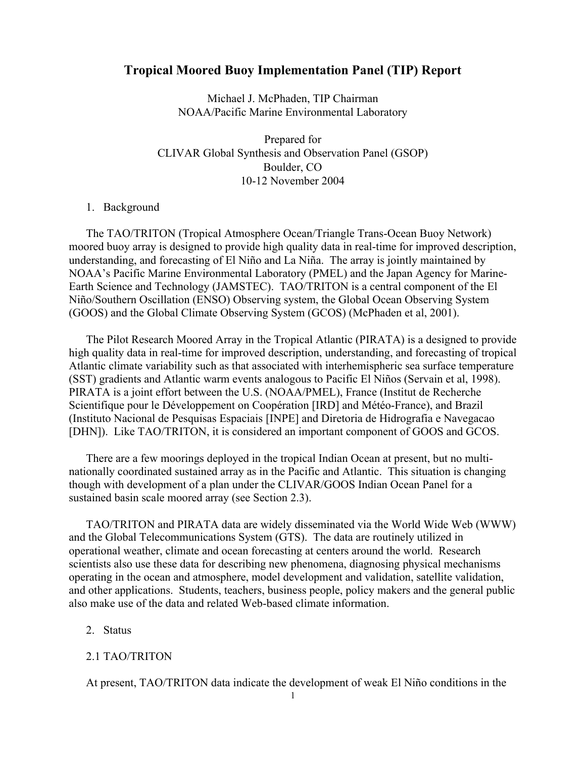# Tropical Moored Buoy Implementation Panel (TIP) Report

Michael J. McPhaden, TIP Chairman NOAA/Pacific Marine Environmental Laboratory

Prepared for CLIVAR Global Synthesis and Observation Panel (GSOP) Boulder, CO 10-12 November 2004

#### 1. Background

The TAO/TRITON (Tropical Atmosphere Ocean/Triangle Trans-Ocean Buoy Network) moored buoy array is designed to provide high quality data in real-time for improved description, understanding, and forecasting of El Niño and La Niña. The array is jointly maintained by NOAA's Pacific Marine Environmental Laboratory (PMEL) and the Japan Agency for Marine-Earth Science and Technology (JAMSTEC). TAO/TRITON is a central component of the El Niño/Southern Oscillation (ENSO) Observing system, the Global Ocean Observing System (GOOS) and the Global Climate Observing System (GCOS) (McPhaden et al, 2001).

The Pilot Research Moored Array in the Tropical Atlantic (PIRATA) is a designed to provide high quality data in real-time for improved description, understanding, and forecasting of tropical Atlantic climate variability such as that associated with interhemispheric sea surface temperature (SST) gradients and Atlantic warm events analogous to Pacific El Niños (Servain et al, 1998). PIRATA is a joint effort between the U.S. (NOAA/PMEL), France (Institut de Recherche Scientifique pour le Développement on Coopération [IRD] and Météo-France), and Brazil (Instituto Nacional de Pesquisas Espaciais [INPE] and Diretoria de Hidrografia e Navegacao [DHN]). Like TAO/TRITON, it is considered an important component of GOOS and GCOS.

There are a few moorings deployed in the tropical Indian Ocean at present, but no multinationally coordinated sustained array as in the Pacific and Atlantic. This situation is changing though with development of a plan under the CLIVAR/GOOS Indian Ocean Panel for a sustained basin scale moored array (see Section 2.3).

TAO/TRITON and PIRATA data are widely disseminated via the World Wide Web (WWW) and the Global Telecommunications System (GTS). The data are routinely utilized in operational weather, climate and ocean forecasting at centers around the world. Research scientists also use these data for describing new phenomena, diagnosing physical mechanisms operating in the ocean and atmosphere, model development and validation, satellite validation, and other applications. Students, teachers, business people, policy makers and the general public also make use of the data and related Web-based climate information.

## 2. Status

#### 2.1 TAO/TRITON

At present, TAO/TRITON data indicate the development of weak El Niño conditions in the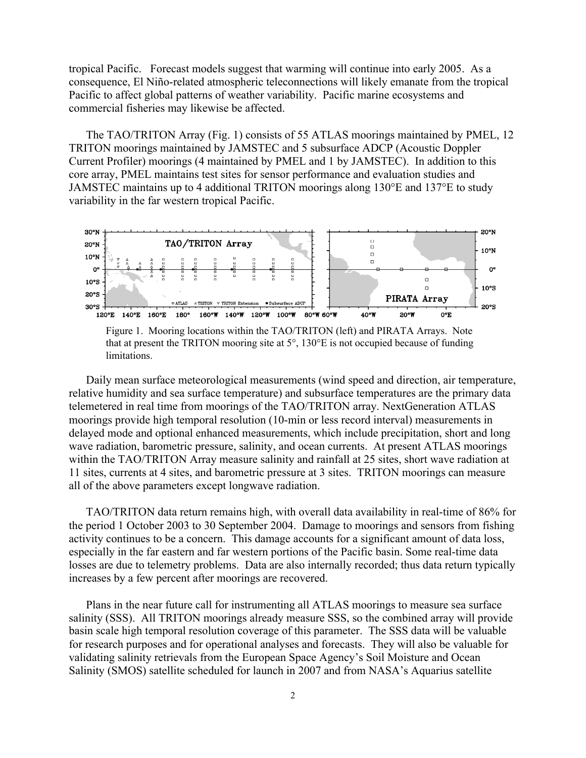tropical Pacific. Forecast models suggest that warming will continue into early 2005. As a consequence, El Niño-related atmospheric teleconnections will likely emanate from the tropical Pacific to affect global patterns of weather variability. Pacific marine ecosystems and commercial fisheries may likewise be affected.

The TAO/TRITON Array (Fig. 1) consists of 55 ATLAS moorings maintained by PMEL, 12 TRITON moorings maintained by JAMSTEC and 5 subsurface ADCP (Acoustic Doppler Current Profiler) moorings (4 maintained by PMEL and 1 by JAMSTEC). In addition to this core array, PMEL maintains test sites for sensor performance and evaluation studies and JAMSTEC maintains up to 4 additional TRITON moorings along 130°E and 137°E to study variability in the far western tropical Pacific.



 Figure 1. Mooring locations within the TAO/TRITON (left) and PIRATA Arrays. Note that at present the TRITON mooring site at 5°, 130°E is not occupied because of funding limitations.

Daily mean surface meteorological measurements (wind speed and direction, air temperature, relative humidity and sea surface temperature) and subsurface temperatures are the primary data telemetered in real time from moorings of the TAO/TRITON array. NextGeneration ATLAS moorings provide high temporal resolution (10-min or less record interval) measurements in delayed mode and optional enhanced measurements, which include precipitation, short and long wave radiation, barometric pressure, salinity, and ocean currents. At present ATLAS moorings within the TAO/TRITON Array measure salinity and rainfall at 25 sites, short wave radiation at 11 sites, currents at 4 sites, and barometric pressure at 3 sites. TRITON moorings can measure all of the above parameters except longwave radiation.

TAO/TRITON data return remains high, with overall data availability in real-time of 86% for the period 1 October 2003 to 30 September 2004. Damage to moorings and sensors from fishing activity continues to be a concern. This damage accounts for a significant amount of data loss, especially in the far eastern and far western portions of the Pacific basin. Some real-time data losses are due to telemetry problems. Data are also internally recorded; thus data return typically increases by a few percent after moorings are recovered.

Plans in the near future call for instrumenting all ATLAS moorings to measure sea surface salinity (SSS). All TRITON moorings already measure SSS, so the combined array will provide basin scale high temporal resolution coverage of this parameter. The SSS data will be valuable for research purposes and for operational analyses and forecasts. They will also be valuable for validating salinity retrievals from the European Space Agency's Soil Moisture and Ocean Salinity (SMOS) satellite scheduled for launch in 2007 and from NASA's Aquarius satellite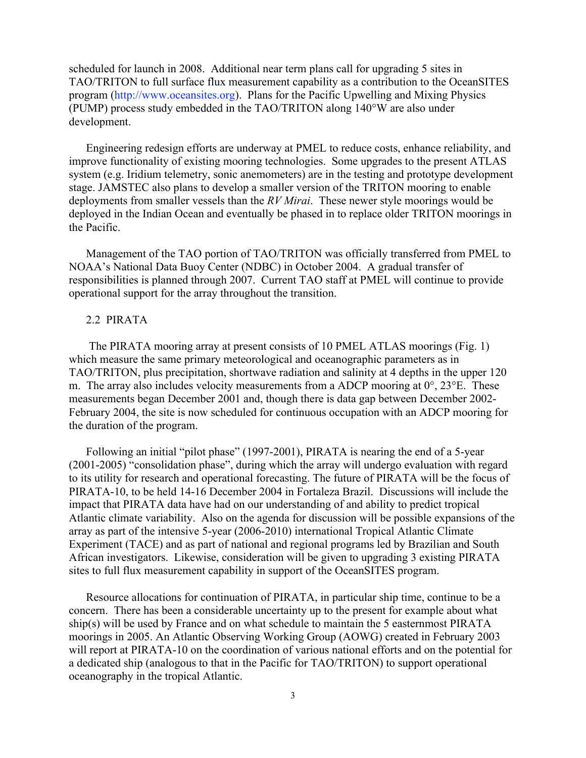scheduled for launch in 2008. Additional near term plans call for upgrading 5 sites in TAO/TRITON to full surface flux measurement capability as a contribution to the OceanSITES program (http://www.oceansites.org). Plans for the Pacific Upwelling and Mixing Physics (PUMP) process study embedded in the TAO/TRITON along 140°W are also under development.

Engineering redesign efforts are underway at PMEL to reduce costs, enhance reliability, and improve functionality of existing mooring technologies. Some upgrades to the present ATLAS system (e.g. Iridium telemetry, sonic anemometers) are in the testing and prototype development stage. JAMSTEC also plans to develop a smaller version of the TRITON mooring to enable deployments from smaller vessels than the *RV Mirai*. These newer style moorings would be deployed in the Indian Ocean and eventually be phased in to replace older TRITON moorings in the Pacific.

Management of the TAO portion of TAO/TRITON was officially transferred from PMEL to NOAA's National Data Buoy Center (NDBC) in October 2004. A gradual transfer of responsibilities is planned through 2007. Current TAO staff at PMEL will continue to provide operational support for the array throughout the transition.

#### 2.2 PIRATA

 The PIRATA mooring array at present consists of 10 PMEL ATLAS moorings (Fig. 1) which measure the same primary meteorological and oceanographic parameters as in TAO/TRITON, plus precipitation, shortwave radiation and salinity at 4 depths in the upper 120 m. The array also includes velocity measurements from a ADCP mooring at  $0^{\circ}$ ,  $23^{\circ}E$ . These measurements began December 2001 and, though there is data gap between December 2002- February 2004, the site is now scheduled for continuous occupation with an ADCP mooring for the duration of the program.

Following an initial "pilot phase" (1997-2001), PIRATA is nearing the end of a 5-year (2001-2005) "consolidation phase", during which the array will undergo evaluation with regard to its utility for research and operational forecasting. The future of PIRATA will be the focus of PIRATA-10, to be held 14-16 December 2004 in Fortaleza Brazil. Discussions will include the impact that PIRATA data have had on our understanding of and ability to predict tropical Atlantic climate variability. Also on the agenda for discussion will be possible expansions of the array as part of the intensive 5-year (2006-2010) international Tropical Atlantic Climate Experiment (TACE) and as part of national and regional programs led by Brazilian and South African investigators. Likewise, consideration will be given to upgrading 3 existing PIRATA sites to full flux measurement capability in support of the OceanSITES program.

Resource allocations for continuation of PIRATA, in particular ship time, continue to be a concern. There has been a considerable uncertainty up to the present for example about what ship(s) will be used by France and on what schedule to maintain the 5 easternmost PIRATA moorings in 2005. An Atlantic Observing Working Group (AOWG) created in February 2003 will report at PIRATA-10 on the coordination of various national efforts and on the potential for a dedicated ship (analogous to that in the Pacific for TAO/TRITON) to support operational oceanography in the tropical Atlantic.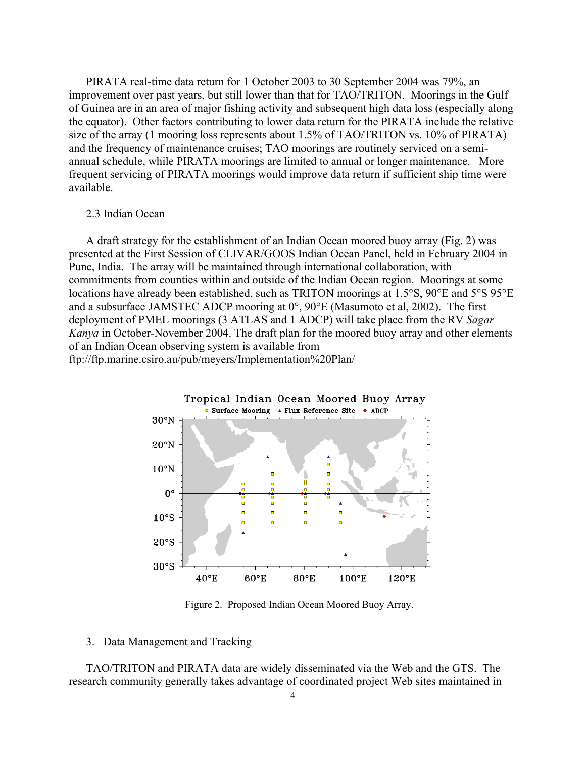PIRATA real-time data return for 1 October 2003 to 30 September 2004 was 79%, an improvement over past years, but still lower than that for TAO/TRITON. Moorings in the Gulf of Guinea are in an area of major fishing activity and subsequent high data loss (especially along the equator). Other factors contributing to lower data return for the PIRATA include the relative size of the array (1 mooring loss represents about 1.5% of TAO/TRITON vs. 10% of PIRATA) and the frequency of maintenance cruises; TAO moorings are routinely serviced on a semiannual schedule, while PIRATA moorings are limited to annual or longer maintenance. More frequent servicing of PIRATA moorings would improve data return if sufficient ship time were available.

#### 2.3 Indian Ocean

A draft strategy for the establishment of an Indian Ocean moored buoy array (Fig. 2) was presented at the First Session of CLIVAR/GOOS Indian Ocean Panel, held in February 2004 in Pune, India. The array will be maintained through international collaboration, with commitments from counties within and outside of the Indian Ocean region. Moorings at some locations have already been established, such as TRITON moorings at 1.5°S, 90°E and 5°S 95°E and a subsurface JAMSTEC ADCP mooring at 0°, 90°E (Masumoto et al, 2002). The first deployment of PMEL moorings (3 ATLAS and 1 ADCP) will take place from the RV *Sagar Kanya* in October-November 2004. The draft plan for the moored buoy array and other elements of an Indian Ocean observing system is available from

ftp://ftp.marine.csiro.au/pub/meyers/Implementation%20Plan/



Figure 2. Proposed Indian Ocean Moored Buoy Array.

### 3. Data Management and Tracking

TAO/TRITON and PIRATA data are widely disseminated via the Web and the GTS. The research community generally takes advantage of coordinated project Web sites maintained in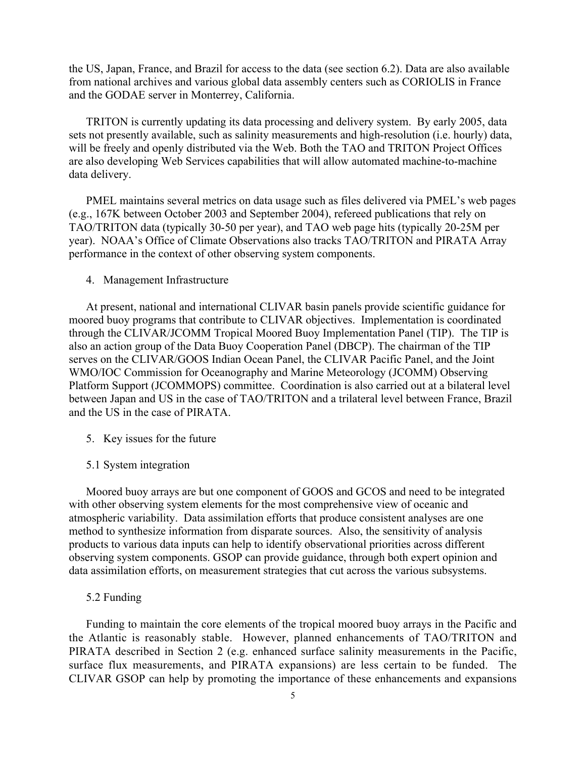the US, Japan, France, and Brazil for access to the data (see section 6.2). Data are also available from national archives and various global data assembly centers such as CORIOLIS in France and the GODAE server in Monterrey, California.

TRITON is currently updating its data processing and delivery system. By early 2005, data sets not presently available, such as salinity measurements and high-resolution (i.e. hourly) data, will be freely and openly distributed via the Web. Both the TAO and TRITON Project Offices are also developing Web Services capabilities that will allow automated machine-to-machine data delivery.

PMEL maintains several metrics on data usage such as files delivered via PMEL's web pages (e.g., 167K between October 2003 and September 2004), refereed publications that rely on TAO/TRITON data (typically 30-50 per year), and TAO web page hits (typically 20-25M per year). NOAA's Office of Climate Observations also tracks TAO/TRITON and PIRATA Array performance in the context of other observing system components.

4. Management Infrastructure

At present, national and international CLIVAR basin panels provide scientific guidance for moored buoy programs that contribute to CLIVAR objectives. Implementation is coordinated through the CLIVAR/JCOMM Tropical Moored Buoy Implementation Panel (TIP). The TIP is also an action group of the Data Buoy Cooperation Panel (DBCP). The chairman of the TIP serves on the CLIVAR/GOOS Indian Ocean Panel, the CLIVAR Pacific Panel, and the Joint WMO/IOC Commission for Oceanography and Marine Meteorology (JCOMM) Observing Platform Support (JCOMMOPS) committee. Coordination is also carried out at a bilateral level between Japan and US in the case of TAO/TRITON and a trilateral level between France, Brazil and the US in the case of PIRATA.

- 5. Key issues for the future
- 5.1 System integration

Moored buoy arrays are but one component of GOOS and GCOS and need to be integrated with other observing system elements for the most comprehensive view of oceanic and atmospheric variability. Data assimilation efforts that produce consistent analyses are one method to synthesize information from disparate sources. Also, the sensitivity of analysis products to various data inputs can help to identify observational priorities across different observing system components. GSOP can provide guidance, through both expert opinion and data assimilation efforts, on measurement strategies that cut across the various subsystems.

5.2 Funding

Funding to maintain the core elements of the tropical moored buoy arrays in the Pacific and the Atlantic is reasonably stable. However, planned enhancements of TAO/TRITON and PIRATA described in Section 2 (e.g. enhanced surface salinity measurements in the Pacific, surface flux measurements, and PIRATA expansions) are less certain to be funded. The CLIVAR GSOP can help by promoting the importance of these enhancements and expansions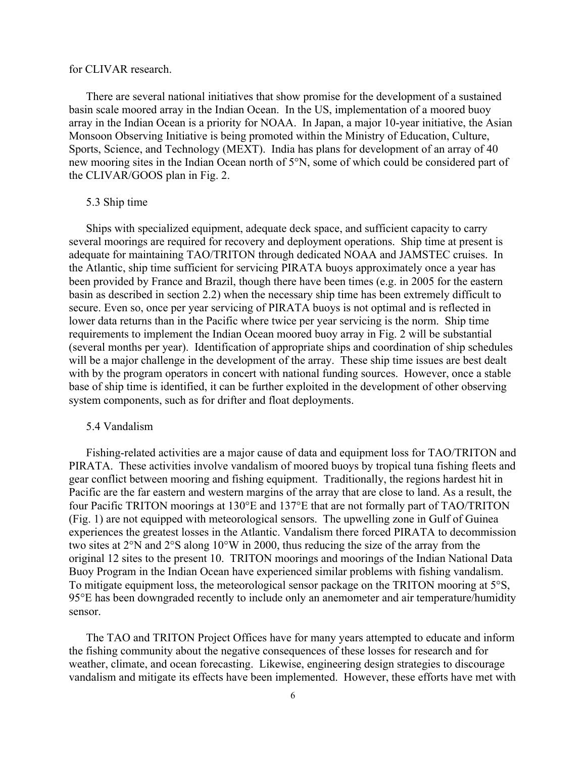#### for CLIVAR research.

There are several national initiatives that show promise for the development of a sustained basin scale moored array in the Indian Ocean. In the US, implementation of a moored buoy array in the Indian Ocean is a priority for NOAA. In Japan, a major 10-year initiative, the Asian Monsoon Observing Initiative is being promoted within the Ministry of Education, Culture, Sports, Science, and Technology (MEXT). India has plans for development of an array of 40 new mooring sites in the Indian Ocean north of 5°N, some of which could be considered part of the CLIVAR/GOOS plan in Fig. 2.

#### 5.3 Ship time

Ships with specialized equipment, adequate deck space, and sufficient capacity to carry several moorings are required for recovery and deployment operations. Ship time at present is adequate for maintaining TAO/TRITON through dedicated NOAA and JAMSTEC cruises. In the Atlantic, ship time sufficient for servicing PIRATA buoys approximately once a year has been provided by France and Brazil, though there have been times (e.g. in 2005 for the eastern basin as described in section 2.2) when the necessary ship time has been extremely difficult to secure. Even so, once per year servicing of PIRATA buoys is not optimal and is reflected in lower data returns than in the Pacific where twice per year servicing is the norm. Ship time requirements to implement the Indian Ocean moored buoy array in Fig. 2 will be substantial (several months per year). Identification of appropriate ships and coordination of ship schedules will be a major challenge in the development of the array. These ship time issues are best dealt with by the program operators in concert with national funding sources. However, once a stable base of ship time is identified, it can be further exploited in the development of other observing system components, such as for drifter and float deployments.

## 5.4 Vandalism

Fishing-related activities are a major cause of data and equipment loss for TAO/TRITON and PIRATA. These activities involve vandalism of moored buoys by tropical tuna fishing fleets and gear conflict between mooring and fishing equipment. Traditionally, the regions hardest hit in Pacific are the far eastern and western margins of the array that are close to land. As a result, the four Pacific TRITON moorings at 130°E and 137°E that are not formally part of TAO/TRITON (Fig. 1) are not equipped with meteorological sensors. The upwelling zone in Gulf of Guinea experiences the greatest losses in the Atlantic. Vandalism there forced PIRATA to decommission two sites at 2°N and 2°S along 10°W in 2000, thus reducing the size of the array from the original 12 sites to the present 10. TRITON moorings and moorings of the Indian National Data Buoy Program in the Indian Ocean have experienced similar problems with fishing vandalism. To mitigate equipment loss, the meteorological sensor package on the TRITON mooring at 5°S, 95°E has been downgraded recently to include only an anemometer and air temperature/humidity sensor.

The TAO and TRITON Project Offices have for many years attempted to educate and inform the fishing community about the negative consequences of these losses for research and for weather, climate, and ocean forecasting. Likewise, engineering design strategies to discourage vandalism and mitigate its effects have been implemented. However, these efforts have met with